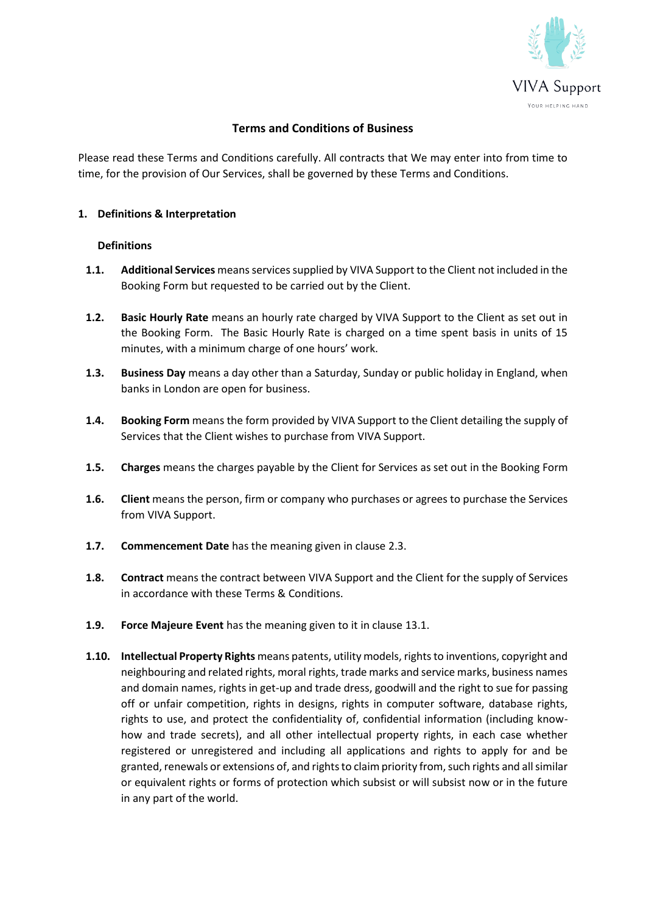

# **Terms and Conditions of Business**

Please read these Terms and Conditions carefully. All contracts that We may enter into from time to time, for the provision of Our Services, shall be governed by these Terms and Conditions.

## **1. Definitions & Interpretation**

## **Definitions**

- **1.1.** Additional Services means services supplied by VIVA Support to the Client not included in the Booking Form but requested to be carried out by the Client.
- **1.2. Basic Hourly Rate** means an hourly rate charged by VIVA Support to the Client as set out in the Booking Form. The Basic Hourly Rate is charged on a time spent basis in units of 15 minutes, with a minimum charge of one hours' work.
- **1.3. Business Day** means a day other than a Saturday, Sunday or public holiday in England, when banks in London are open for business.
- **1.4. Booking Form** means the form provided by VIVA Support to the Client detailing the supply of Services that the Client wishes to purchase from VIVA Support.
- **1.5. Charges** means the charges payable by the Client for Services as set out in the Booking Form
- **1.6. Client** means the person, firm or company who purchases or agrees to purchase the Services from VIVA Support.
- **1.7. Commencement Date** has the meaning given in clause 2.3.
- **1.8. Contract** means the contract between VIVA Support and the Client for the supply of Services in accordance with these Terms & Conditions.
- **1.9. Force Majeure Event** has the meaning given to it in clause 13.1.
- **1.10. Intellectual Property Rights** means patents, utility models, rights to inventions, copyright and neighbouring and related rights, moral rights, trade marks and service marks, business names and domain names, rights in get-up and trade dress, goodwill and the right to sue for passing off or unfair competition, rights in designs, rights in computer software, database rights, rights to use, and protect the confidentiality of, confidential information (including knowhow and trade secrets), and all other intellectual property rights, in each case whether registered or unregistered and including all applications and rights to apply for and be granted, renewals or extensions of, and rights to claim priority from, such rights and all similar or equivalent rights or forms of protection which subsist or will subsist now or in the future in any part of the world.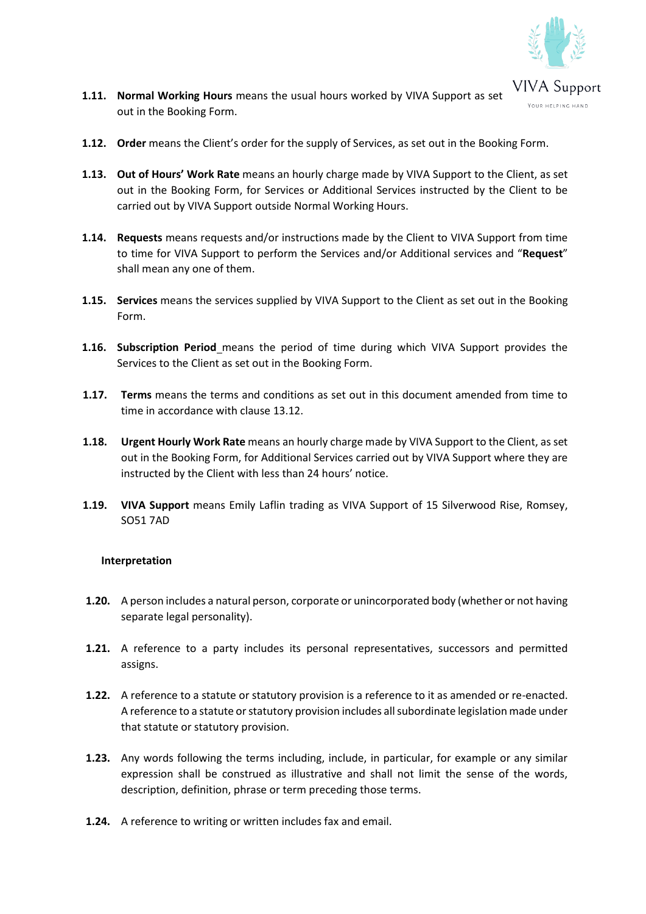

- **1.11. Normal Working Hours** means the usual hours worked by VIVA Support as set out in the Booking Form.
- **1.12. Order** means the Client's order for the supply of Services, as set out in the Booking Form.
- **1.13. Out of Hours' Work Rate** means an hourly charge made by VIVA Support to the Client, as set out in the Booking Form, for Services or Additional Services instructed by the Client to be carried out by VIVA Support outside Normal Working Hours.
- **1.14. Requests** means requests and/or instructions made by the Client to VIVA Support from time to time for VIVA Support to perform the Services and/or Additional services and "**Request**" shall mean any one of them.
- **1.15. Services** means the services supplied by VIVA Support to the Client as set out in the Booking Form.
- **1.16. Subscription Period** means the period of time during which VIVA Support provides the Services to the Client as set out in the Booking Form.
- **1.17. Terms** means the terms and conditions as set out in this document amended from time to time in accordance with clause 13.12.
- **1.18. Urgent Hourly Work Rate** means an hourly charge made by VIVA Support to the Client, as set out in the Booking Form, for Additional Services carried out by VIVA Support where they are instructed by the Client with less than 24 hours' notice.
- **1.19. VIVA Support** means Emily Laflin trading as VIVA Support of 15 Silverwood Rise, Romsey, SO51 7AD

### **Interpretation**

- **1.20.** A person includes a natural person, corporate or unincorporated body (whether or not having separate legal personality).
- **1.21.** A reference to a party includes its personal representatives, successors and permitted assigns.
- **1.22.** A reference to a statute or statutory provision is a reference to it as amended or re-enacted. A reference to a statute or statutory provision includes all subordinate legislation made under that statute or statutory provision.
- **1.23.** Any words following the terms including, include, in particular, for example or any similar expression shall be construed as illustrative and shall not limit the sense of the words, description, definition, phrase or term preceding those terms.
- **1.24.** A reference to writing or written includes fax and email.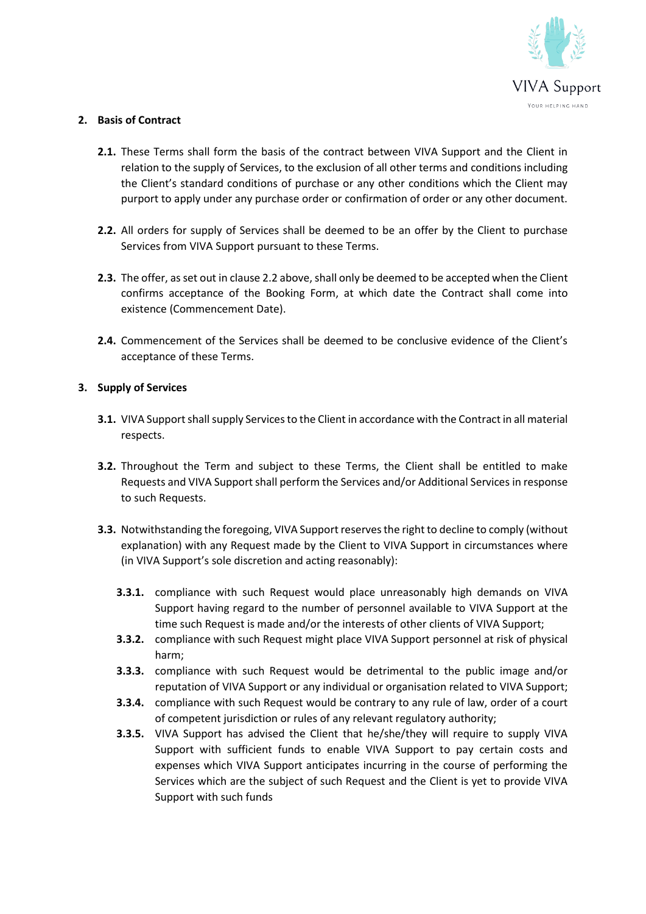

# **2. Basis of Contract**

- **2.1.** These Terms shall form the basis of the contract between VIVA Support and the Client in relation to the supply of Services, to the exclusion of all other terms and conditions including the Client's standard conditions of purchase or any other conditions which the Client may purport to apply under any purchase order or confirmation of order or any other document.
- **2.2.** All orders for supply of Services shall be deemed to be an offer by the Client to purchase Services from VIVA Support pursuant to these Terms.
- **2.3.** The offer, as set out in clause 2.2 above, shall only be deemed to be accepted when the Client confirms acceptance of the Booking Form, at which date the Contract shall come into existence (Commencement Date).
- **2.4.** Commencement of the Services shall be deemed to be conclusive evidence of the Client's acceptance of these Terms.

# **3. Supply of Services**

- **3.1.** VIVA Support shall supply Services to the Client in accordance with the Contract in all material respects.
- **3.2.** Throughout the Term and subject to these Terms, the Client shall be entitled to make Requests and VIVA Supportshall perform the Services and/or Additional Services in response to such Requests.
- **3.3.** Notwithstanding the foregoing, VIVA Support reserves the right to decline to comply (without explanation) with any Request made by the Client to VIVA Support in circumstances where (in VIVA Support's sole discretion and acting reasonably):
	- **3.3.1.** compliance with such Request would place unreasonably high demands on VIVA Support having regard to the number of personnel available to VIVA Support at the time such Request is made and/or the interests of other clients of VIVA Support;
	- **3.3.2.** compliance with such Request might place VIVA Support personnel at risk of physical harm;
	- **3.3.3.** compliance with such Request would be detrimental to the public image and/or reputation of VIVA Support or any individual or organisation related to VIVA Support;
	- **3.3.4.** compliance with such Request would be contrary to any rule of law, order of a court of competent jurisdiction or rules of any relevant regulatory authority;
	- **3.3.5.** VIVA Support has advised the Client that he/she/they will require to supply VIVA Support with sufficient funds to enable VIVA Support to pay certain costs and expenses which VIVA Support anticipates incurring in the course of performing the Services which are the subject of such Request and the Client is yet to provide VIVA Support with such funds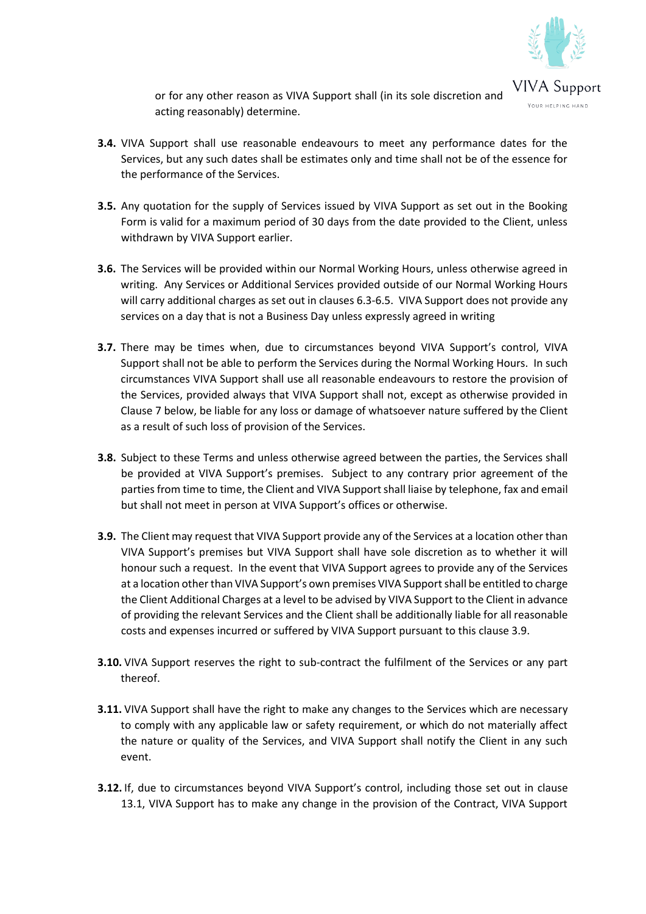

or for any other reason as VIVA Support shall (in its sole discretion and acting reasonably) determine.

- **3.4.** VIVA Support shall use reasonable endeavours to meet any performance dates for the Services, but any such dates shall be estimates only and time shall not be of the essence for the performance of the Services.
- **3.5.** Any quotation for the supply of Services issued by VIVA Support as set out in the Booking Form is valid for a maximum period of 30 days from the date provided to the Client, unless withdrawn by VIVA Support earlier.
- **3.6.** The Services will be provided within our Normal Working Hours, unless otherwise agreed in writing. Any Services or Additional Services provided outside of our Normal Working Hours will carry additional charges as set out in clauses 6.3-6.5. VIVA Support does not provide any services on a day that is not a Business Day unless expressly agreed in writing
- **3.7.** There may be times when, due to circumstances beyond VIVA Support's control, VIVA Support shall not be able to perform the Services during the Normal Working Hours. In such circumstances VIVA Support shall use all reasonable endeavours to restore the provision of the Services, provided always that VIVA Support shall not, except as otherwise provided in Clause 7 below, be liable for any loss or damage of whatsoever nature suffered by the Client as a result of such loss of provision of the Services.
- **3.8.** Subject to these Terms and unless otherwise agreed between the parties, the Services shall be provided at VIVA Support's premises. Subject to any contrary prior agreement of the parties from time to time, the Client and VIVA Supportshall liaise by telephone, fax and email but shall not meet in person at VIVA Support's offices or otherwise.
- **3.9.** The Client may request that VIVA Support provide any of the Services at a location other than VIVA Support's premises but VIVA Support shall have sole discretion as to whether it will honour such a request. In the event that VIVA Support agrees to provide any of the Services at a location other than VIVA Support's own premises VIVA Supportshall be entitled to charge the Client Additional Charges at a level to be advised by VIVA Support to the Client in advance of providing the relevant Services and the Client shall be additionally liable for all reasonable costs and expenses incurred or suffered by VIVA Support pursuant to this clause 3.9.
- **3.10.** VIVA Support reserves the right to sub-contract the fulfilment of the Services or any part thereof.
- **3.11.** VIVA Support shall have the right to make any changes to the Services which are necessary to comply with any applicable law or safety requirement, or which do not materially affect the nature or quality of the Services, and VIVA Support shall notify the Client in any such event.
- **3.12.** If, due to circumstances beyond VIVA Support's control, including those set out in clause 13.1, VIVA Support has to make any change in the provision of the Contract, VIVA Support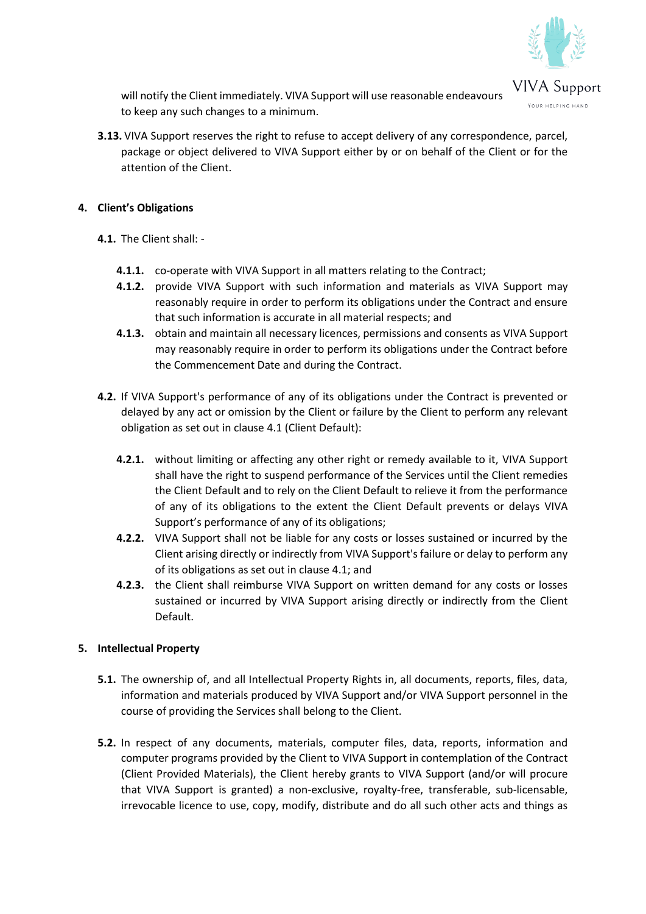

will notify the Client immediately. VIVA Support will use reasonable endeavours to keep any such changes to a minimum.

**3.13.** VIVA Support reserves the right to refuse to accept delivery of any correspondence, parcel, package or object delivered to VIVA Support either by or on behalf of the Client or for the attention of the Client.

# **4. Client's Obligations**

- **4.1.** The Client shall:
	- **4.1.1.** co-operate with VIVA Support in all matters relating to the Contract;
	- **4.1.2.** provide VIVA Support with such information and materials as VIVA Support may reasonably require in order to perform its obligations under the Contract and ensure that such information is accurate in all material respects; and
	- **4.1.3.** obtain and maintain all necessary licences, permissions and consents as VIVA Support may reasonably require in order to perform its obligations under the Contract before the Commencement Date and during the Contract.
- **4.2.** If VIVA Support's performance of any of its obligations under the Contract is prevented or delayed by any act or omission by the Client or failure by the Client to perform any relevant obligation as set out in clause 4.1 (Client Default):
	- **4.2.1.** without limiting or affecting any other right or remedy available to it, VIVA Support shall have the right to suspend performance of the Services until the Client remedies the Client Default and to rely on the Client Default to relieve it from the performance of any of its obligations to the extent the Client Default prevents or delays VIVA Support's performance of any of its obligations;
	- **4.2.2.** VIVA Support shall not be liable for any costs or losses sustained or incurred by the Client arising directly or indirectly from VIVA Support's failure or delay to perform any of its obligations as set out in clause 4.1; and
	- **4.2.3.** the Client shall reimburse VIVA Support on written demand for any costs or losses sustained or incurred by VIVA Support arising directly or indirectly from the Client Default.

# **5. Intellectual Property**

- **5.1.** The ownership of, and all Intellectual Property Rights in, all documents, reports, files, data, information and materials produced by VIVA Support and/or VIVA Support personnel in the course of providing the Services shall belong to the Client.
- **5.2.** In respect of any documents, materials, computer files, data, reports, information and computer programs provided by the Client to VIVA Support in contemplation of the Contract (Client Provided Materials), the Client hereby grants to VIVA Support (and/or will procure that VIVA Support is granted) a non-exclusive, royalty-free, transferable, sub-licensable, irrevocable licence to use, copy, modify, distribute and do all such other acts and things as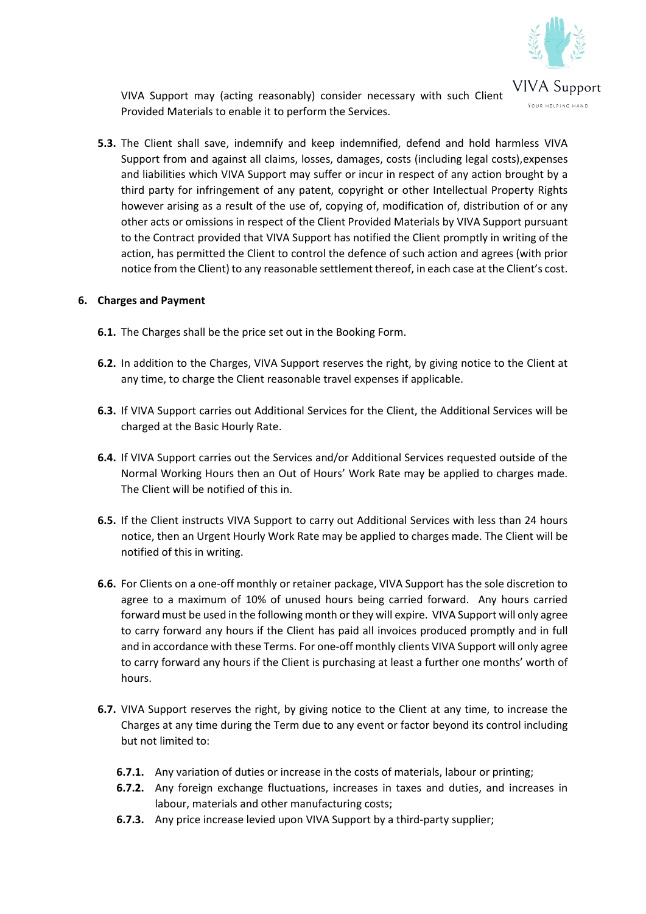

VIVA Support may (acting reasonably) consider necessary with such Client Provided Materials to enable it to perform the Services.

**5.3.** The Client shall save, indemnify and keep indemnified, defend and hold harmless VIVA Support from and against all claims, losses, damages, costs (including legal costs),expenses and liabilities which VIVA Support may suffer or incur in respect of any action brought by a third party for infringement of any patent, copyright or other Intellectual Property Rights however arising as a result of the use of, copying of, modification of, distribution of or any other acts or omissions in respect of the Client Provided Materials by VIVA Support pursuant to the Contract provided that VIVA Support has notified the Client promptly in writing of the action, has permitted the Client to control the defence of such action and agrees (with prior notice from the Client) to any reasonable settlement thereof, in each case at the Client's cost.

### **6. Charges and Payment**

- **6.1.** The Charges shall be the price set out in the Booking Form.
- **6.2.** In addition to the Charges, VIVA Support reserves the right, by giving notice to the Client at any time, to charge the Client reasonable travel expenses if applicable.
- **6.3.** If VIVA Support carries out Additional Services for the Client, the Additional Services will be charged at the Basic Hourly Rate.
- **6.4.** If VIVA Support carries out the Services and/or Additional Services requested outside of the Normal Working Hours then an Out of Hours' Work Rate may be applied to charges made. The Client will be notified of this in.
- **6.5.** If the Client instructs VIVA Support to carry out Additional Services with less than 24 hours notice, then an Urgent Hourly Work Rate may be applied to charges made. The Client will be notified of this in writing.
- **6.6.** For Clients on a one-off monthly or retainer package, VIVA Support has the sole discretion to agree to a maximum of 10% of unused hours being carried forward. Any hours carried forward must be used in the following month or they will expire. VIVA Support will only agree to carry forward any hours if the Client has paid all invoices produced promptly and in full and in accordance with these Terms. For one-off monthly clients VIVA Support will only agree to carry forward any hours if the Client is purchasing at least a further one months' worth of hours.
- **6.7.** VIVA Support reserves the right, by giving notice to the Client at any time, to increase the Charges at any time during the Term due to any event or factor beyond its control including but not limited to:
	- **6.7.1.** Any variation of duties or increase in the costs of materials, labour or printing;
	- **6.7.2.** Any foreign exchange fluctuations, increases in taxes and duties, and increases in labour, materials and other manufacturing costs;
	- **6.7.3.** Any price increase levied upon VIVA Support by a third-party supplier;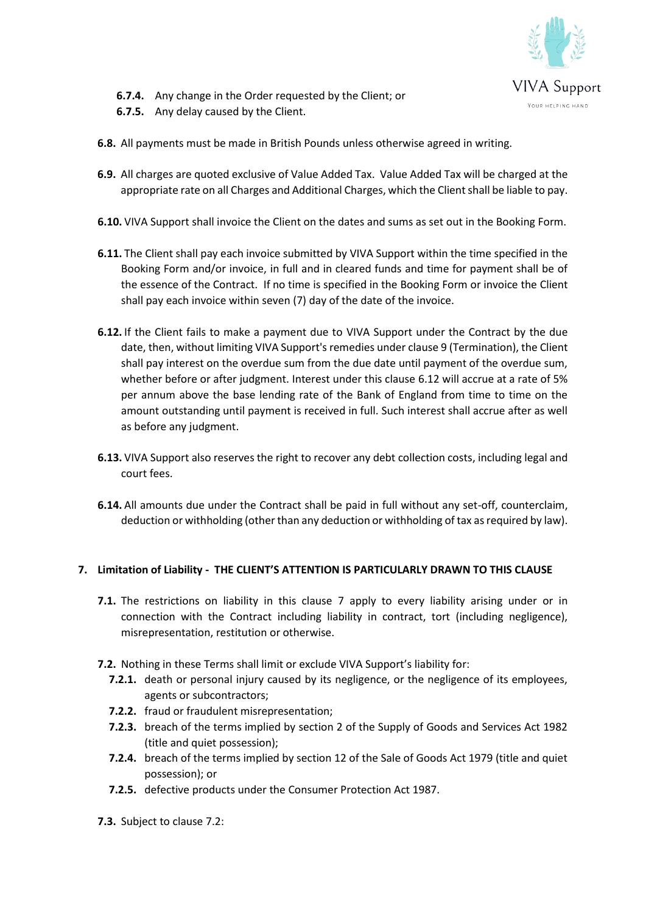

- **6.7.4.** Any change in the Order requested by the Client; or
- **6.7.5.** Any delay caused by the Client.
- **6.8.** All payments must be made in British Pounds unless otherwise agreed in writing.
- **6.9.** All charges are quoted exclusive of Value Added Tax. Value Added Tax will be charged at the appropriate rate on all Charges and Additional Charges, which the Client shall be liable to pay.
- **6.10.** VIVA Support shall invoice the Client on the dates and sums as set out in the Booking Form.
- **6.11.** The Client shall pay each invoice submitted by VIVA Support within the time specified in the Booking Form and/or invoice, in full and in cleared funds and time for payment shall be of the essence of the Contract. If no time is specified in the Booking Form or invoice the Client shall pay each invoice within seven (7) day of the date of the invoice.
- **6.12.** If the Client fails to make a payment due to VIVA Support under the Contract by the due date, then, without limiting VIVA Support's remedies under clause 9 (Termination), the Client shall pay interest on the overdue sum from the due date until payment of the overdue sum, whether before or after judgment. Interest under this clause 6.12 will accrue at a rate of 5% per annum above the base lending rate of the Bank of England from time to time on the amount outstanding until payment is received in full. Such interest shall accrue after as well as before any judgment.
- **6.13.** VIVA Support also reserves the right to recover any debt collection costs, including legal and court fees.
- **6.14.** All amounts due under the Contract shall be paid in full without any set-off, counterclaim, deduction or withholding (other than any deduction or withholding of tax as required by law).

### **7. Limitation of Liability - THE CLIENT'S ATTENTION IS PARTICULARLY DRAWN TO THIS CLAUSE**

- **7.1.** The restrictions on liability in this clause 7 apply to every liability arising under or in connection with the Contract including liability in contract, tort (including negligence), misrepresentation, restitution or otherwise.
- **7.2.** Nothing in these Terms shall limit or exclude VIVA Support's liability for:
	- **7.2.1.** death or personal injury caused by its negligence, or the negligence of its employees, agents or subcontractors;
	- **7.2.2.** fraud or fraudulent misrepresentation;
	- **7.2.3.** breach of the terms implied by section 2 of the Supply of Goods and Services Act 1982 (title and quiet possession);
	- **7.2.4.** breach of the terms implied by section 12 of the Sale of Goods Act 1979 (title and quiet possession); or
	- **7.2.5.** defective products under the Consumer Protection Act 1987.
- **7.3.** Subject to clause 7.2: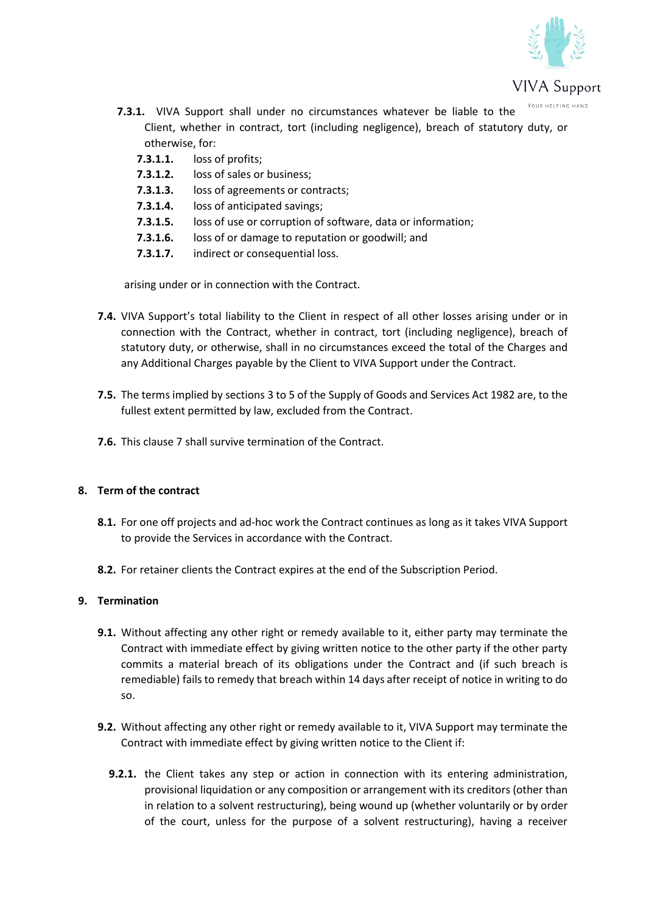

- **7.3.1.** VIVA Support shall under no circumstances whatever be liable to the Client, whether in contract, tort (including negligence), breach of statutory duty, or otherwise, for:
	- **7.3.1.1.** loss of profits;
	- **7.3.1.2.** loss of sales or business;
	- **7.3.1.3.** loss of agreements or contracts;
	- **7.3.1.4.** loss of anticipated savings;
	- **7.3.1.5.** loss of use or corruption of software, data or information;
	- **7.3.1.6.** loss of or damage to reputation or goodwill; and
	- **7.3.1.7.** indirect or consequential loss.

arising under or in connection with the Contract.

- **7.4.** VIVA Support's total liability to the Client in respect of all other losses arising under or in connection with the Contract, whether in contract, tort (including negligence), breach of statutory duty, or otherwise, shall in no circumstances exceed the total of the Charges and any Additional Charges payable by the Client to VIVA Support under the Contract.
- **7.5.** The terms implied by sections 3 to 5 of the Supply of Goods and Services Act 1982 are, to the fullest extent permitted by law, excluded from the Contract.
- **7.6.** This clause 7 shall survive termination of the Contract.

# **8. Term of the contract**

- **8.1.** For one off projects and ad-hoc work the Contract continues as long as it takes VIVA Support to provide the Services in accordance with the Contract.
- **8.2.** For retainer clients the Contract expires at the end of the Subscription Period.

# **9. Termination**

- **9.1.** Without affecting any other right or remedy available to it, either party may terminate the Contract with immediate effect by giving written notice to the other party if the other party commits a material breach of its obligations under the Contract and (if such breach is remediable) fails to remedy that breach within 14 days after receipt of notice in writing to do so.
- **9.2.** Without affecting any other right or remedy available to it, VIVA Support may terminate the Contract with immediate effect by giving written notice to the Client if:
	- **9.2.1.** the Client takes any step or action in connection with its entering administration, provisional liquidation or any composition or arrangement with its creditors (other than in relation to a solvent restructuring), being wound up (whether voluntarily or by order of the court, unless for the purpose of a solvent restructuring), having a receiver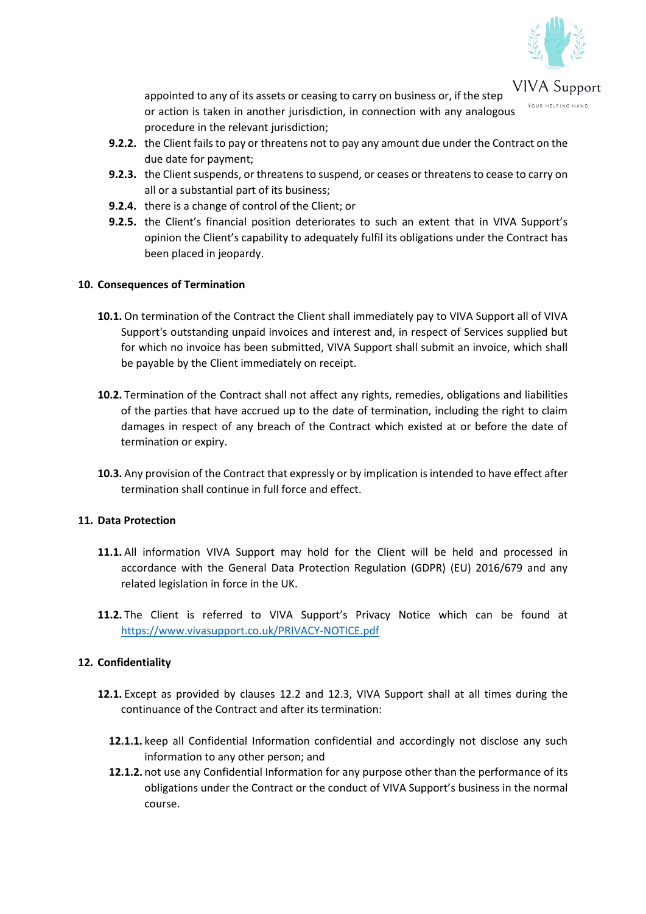

**VIVA** Support appointed to any of its assets or ceasing to carry on business or, if the step or action is taken in another jurisdiction, in connection with any analogous procedure in the relevant jurisdiction;

- **9.2.2.** the Client fails to pay or threatens not to pay any amount due under the Contract on the due date for payment;
- **9.2.3.** the Client suspends, or threatens to suspend, or ceases or threatens to cease to carry on all or a substantial part of its business;
- **9.2.4.** there is a change of control of the Client; or
- **9.2.5.** the Client's financial position deteriorates to such an extent that in VIVA Support's opinion the Client's capability to adequately fulfil its obligations under the Contract has been placed in jeopardy.

## **10. Consequences of Termination**

- **10.1.** On termination of the Contract the Client shall immediately pay to VIVA Support all of VIVA Support's outstanding unpaid invoices and interest and, in respect of Services supplied but for which no invoice has been submitted, VIVA Support shall submit an invoice, which shall be payable by the Client immediately on receipt.
- **10.2.** Termination of the Contract shall not affect any rights, remedies, obligations and liabilities of the parties that have accrued up to the date of termination, including the right to claim damages in respect of any breach of the Contract which existed at or before the date of termination or expiry.
- **10.3.** Any provision of the Contract that expressly or by implication is intended to have effect after termination shall continue in full force and effect.

### **11. Data Protection**

- **11.1.** All information VIVA Support may hold for the Client will be held and processed in accordance with the General Data Protection Regulation (GDPR) (EU) 2016/679 and any related legislation in force in the UK.
- **11.2.** The Client is referred to VIVA Support's Privacy Notice which can be found at <https://www.vivasupport.co.uk/PRIVACY-NOTICE.pdf>

### **12. Confidentiality**

- **12.1.** Except as provided by clauses 12.2 and 12.3, VIVA Support shall at all times during the continuance of the Contract and after its termination:
	- **12.1.1.** keep all Confidential Information confidential and accordingly not disclose any such information to any other person; and
	- **12.1.2.** not use any Confidential Information for any purpose other than the performance of its obligations under the Contract or the conduct of VIVA Support's business in the normal course.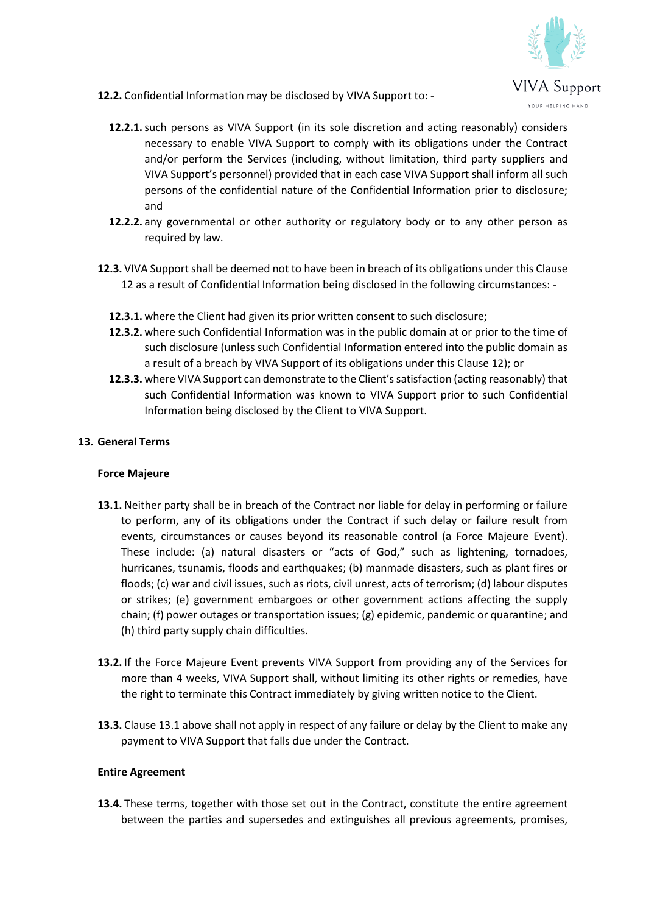

- **12.2.** Confidential Information may be disclosed by VIVA Support to:
	- **12.2.1.**such persons as VIVA Support (in its sole discretion and acting reasonably) considers necessary to enable VIVA Support to comply with its obligations under the Contract and/or perform the Services (including, without limitation, third party suppliers and VIVA Support's personnel) provided that in each case VIVA Support shall inform all such persons of the confidential nature of the Confidential Information prior to disclosure; and
	- **12.2.2.** any governmental or other authority or regulatory body or to any other person as required by law.
- **12.3.** VIVA Support shall be deemed not to have been in breach of its obligations under this Clause 12 as a result of Confidential Information being disclosed in the following circumstances: -
	- **12.3.1.** where the Client had given its prior written consent to such disclosure;
	- **12.3.2.** where such Confidential Information was in the public domain at or prior to the time of such disclosure (unless such Confidential Information entered into the public domain as a result of a breach by VIVA Support of its obligations under this Clause 12); or
	- **12.3.3.** where VIVA Support can demonstrate to the Client's satisfaction (acting reasonably) that such Confidential Information was known to VIVA Support prior to such Confidential Information being disclosed by the Client to VIVA Support.

## **13. General Terms**

### **Force Majeure**

- **13.1.** Neither party shall be in breach of the Contract nor liable for delay in performing or failure to perform, any of its obligations under the Contract if such delay or failure result from events, circumstances or causes beyond its reasonable control (a Force Majeure Event). These include: (a) natural disasters or "acts of God," such as lightening, tornadoes, hurricanes, tsunamis, floods and earthquakes; (b) manmade disasters, such as plant fires or floods; (c) war and civil issues, such as riots, civil unrest, acts of terrorism; (d) labour disputes or strikes; (e) government embargoes or other government actions affecting the supply chain; (f) power outages or transportation issues; (g) epidemic, pandemic or quarantine; and (h) third party supply chain difficulties.
- **13.2.** If the Force Majeure Event prevents VIVA Support from providing any of the Services for more than 4 weeks, VIVA Support shall, without limiting its other rights or remedies, have the right to terminate this Contract immediately by giving written notice to the Client.
- **13.3.** Clause 13.1 above shall not apply in respect of any failure or delay by the Client to make any payment to VIVA Support that falls due under the Contract.

### **Entire Agreement**

**13.4.** These terms, together with those set out in the Contract, constitute the entire agreement between the parties and supersedes and extinguishes all previous agreements, promises,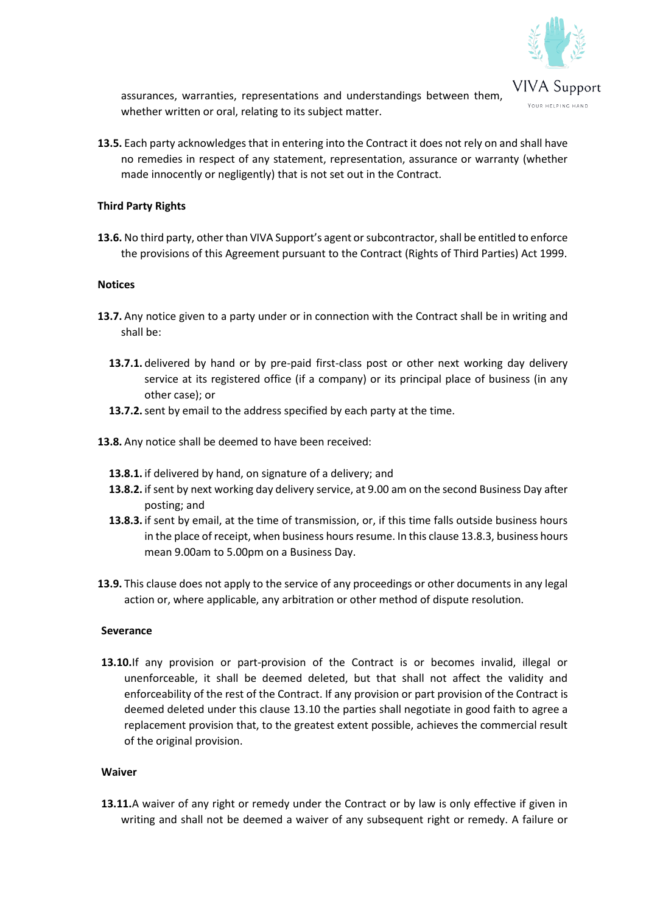

assurances, warranties, representations and understandings between them, whether written or oral, relating to its subject matter.

**13.5.** Each party acknowledges that in entering into the Contract it does not rely on and shall have no remedies in respect of any statement, representation, assurance or warranty (whether made innocently or negligently) that is not set out in the Contract.

### **Third Party Rights**

**13.6.** No third party, other than VIVA Support's agent or subcontractor, shall be entitled to enforce the provisions of this Agreement pursuant to the Contract (Rights of Third Parties) Act 1999.

#### **Notices**

- **13.7.** Any notice given to a party under or in connection with the Contract shall be in writing and shall be:
	- **13.7.1.** delivered by hand or by pre-paid first-class post or other next working day delivery service at its registered office (if a company) or its principal place of business (in any other case); or
	- **13.7.2.**sent by email to the address specified by each party at the time.
- **13.8.** Any notice shall be deemed to have been received:
	- **13.8.1.** if delivered by hand, on signature of a delivery; and
	- **13.8.2.** if sent by next working day delivery service, at 9.00 am on the second Business Day after posting; and
	- **13.8.3.** if sent by email, at the time of transmission, or, if this time falls outside business hours in the place of receipt, when business hours resume. In this clause 13.8.3, business hours mean 9.00am to 5.00pm on a Business Day.
- **13.9.** This clause does not apply to the service of any proceedings or other documents in any legal action or, where applicable, any arbitration or other method of dispute resolution.

#### **Severance**

**13.10.**If any provision or part-provision of the Contract is or becomes invalid, illegal or unenforceable, it shall be deemed deleted, but that shall not affect the validity and enforceability of the rest of the Contract. If any provision or part provision of the Contract is deemed deleted under this clause 13.10 the parties shall negotiate in good faith to agree a replacement provision that, to the greatest extent possible, achieves the commercial result of the original provision.

#### **Waiver**

**13.11.**A waiver of any right or remedy under the Contract or by law is only effective if given in writing and shall not be deemed a waiver of any subsequent right or remedy. A failure or